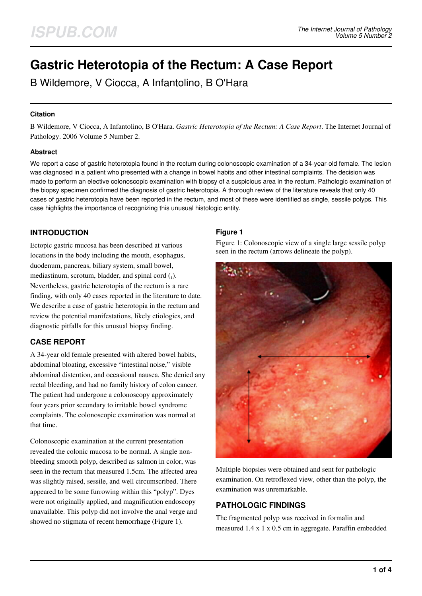# **Gastric Heterotopia of the Rectum: A Case Report**

B Wildemore, V Ciocca, A Infantolino, B O'Hara

## **Citation**

B Wildemore, V Ciocca, A Infantolino, B O'Hara. *Gastric Heterotopia of the Rectum: A Case Report*. The Internet Journal of Pathology. 2006 Volume 5 Number 2.

### **Abstract**

We report a case of gastric heterotopia found in the rectum during colonoscopic examination of a 34-year-old female. The lesion was diagnosed in a patient who presented with a change in bowel habits and other intestinal complaints. The decision was made to perform an elective colonoscopic examination with biopsy of a suspicious area in the rectum. Pathologic examination of the biopsy specimen confirmed the diagnosis of gastric heterotopia. A thorough review of the literature reveals that only 40 cases of gastric heterotopia have been reported in the rectum, and most of these were identified as single, sessile polyps. This case highlights the importance of recognizing this unusual histologic entity.

## **INTRODUCTION**

Ectopic gastric mucosa has been described at various locations in the body including the mouth, esophagus, duodenum, pancreas, biliary system, small bowel, mediastinum, scrotum, bladder, and spinal cord  $_{(1)}$ . Nevertheless, gastric heterotopia of the rectum is a rare finding, with only 40 cases reported in the literature to date. We describe a case of gastric heterotopia in the rectum and review the potential manifestations, likely etiologies, and diagnostic pitfalls for this unusual biopsy finding.

# **CASE REPORT**

A 34-year old female presented with altered bowel habits, abdominal bloating, excessive "intestinal noise," visible abdominal distention, and occasional nausea. She denied any rectal bleeding, and had no family history of colon cancer. The patient had undergone a colonoscopy approximately four years prior secondary to irritable bowel syndrome complaints. The colonoscopic examination was normal at that time.

Colonoscopic examination at the current presentation revealed the colonic mucosa to be normal. A single nonbleeding smooth polyp, described as salmon in color, was seen in the rectum that measured 1.5cm. The affected area was slightly raised, sessile, and well circumscribed. There appeared to be some furrowing within this "polyp". Dyes were not originally applied, and magnification endoscopy unavailable. This polyp did not involve the anal verge and showed no stigmata of recent hemorrhage (Figure 1).

## **Figure 1**

Figure 1: Colonoscopic view of a single large sessile polyp seen in the rectum (arrows delineate the polyp).



Multiple biopsies were obtained and sent for pathologic examination. On retroflexed view, other than the polyp, the examination was unremarkable.

# **PATHOLOGIC FINDINGS**

The fragmented polyp was received in formalin and measured 1.4 x 1 x 0.5 cm in aggregate. Paraffin embedded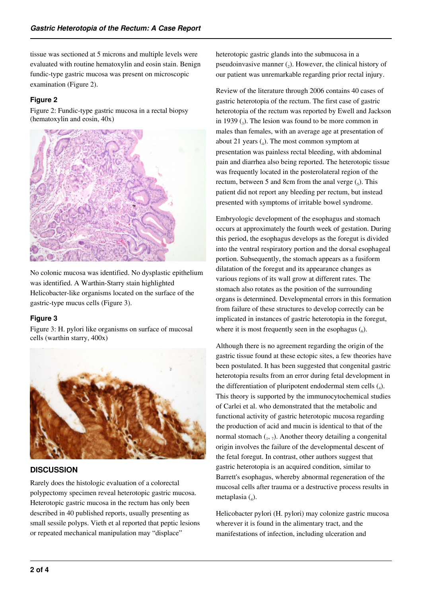tissue was sectioned at 5 microns and multiple levels were evaluated with routine hematoxylin and eosin stain. Benign fundic-type gastric mucosa was present on microscopic examination (Figure 2).

## **Figure 2**

Figure 2: Fundic-type gastric mucosa in a rectal biopsy (hematoxylin and eosin, 40x)



No colonic mucosa was identified. No dysplastic epithelium was identified. A Warthin-Starry stain highlighted Helicobacter-like organisms located on the surface of the gastric-type mucus cells (Figure 3).

## **Figure 3**

Figure 3: H. pylori like organisms on surface of mucosal cells (warthin starry, 400x)



# **DISCUSSION**

Rarely does the histologic evaluation of a colorectal polypectomy specimen reveal heterotopic gastric mucosa. Heterotopic gastric mucosa in the rectum has only been described in 40 published reports, usually presenting as small sessile polyps. Vieth et al reported that peptic lesions or repeated mechanical manipulation may "displace"

heterotopic gastric glands into the submucosa in a pseudoinvasive manner  $(_{2})$ . However, the clinical history of our patient was unremarkable regarding prior rectal injury.

Review of the literature through 2006 contains 40 cases of gastric heterotopia of the rectum. The first case of gastric heterotopia of the rectum was reported by Ewell and Jackson in 1939  $\left($ <sub>3</sub>). The lesion was found to be more common in males than females, with an average age at presentation of about 21 years  $(_{4})$ . The most common symptom at presentation was painless rectal bleeding, with abdominal pain and diarrhea also being reported. The heterotopic tissue was frequently located in the posterolateral region of the rectum, between 5 and 8cm from the anal verge  $\binom{1}{5}$ . This patient did not report any bleeding per rectum, but instead presented with symptoms of irritable bowel syndrome.

Embryologic development of the esophagus and stomach occurs at approximately the fourth week of gestation. During this period, the esophagus develops as the foregut is divided into the ventral respiratory portion and the dorsal esophageal portion. Subsequently, the stomach appears as a fusiform dilatation of the foregut and its appearance changes as various regions of its wall grow at different rates. The stomach also rotates as the position of the surrounding organs is determined. Developmental errors in this formation from failure of these structures to develop correctly can be implicated in instances of gastric heterotopia in the foregut, where it is most frequently seen in the esophagus  $\binom{6}{6}$ .

Although there is no agreement regarding the origin of the gastric tissue found at these ectopic sites, a few theories have been postulated. It has been suggested that congenital gastric heterotopia results from an error during fetal development in the differentiation of pluripotent endodermal stem cells  $(_{4})$ . This theory is supported by the immunocytochemical studies of Carlei et al. who demonstrated that the metabolic and functional activity of gastric heterotopic mucosa regarding the production of acid and mucin is identical to that of the normal stomach  $_{1}$ ,  $_{7}$ ). Another theory detailing a congenital origin involves the failure of the developmental descent of the fetal foregut. In contrast, other authors suggest that gastric heterotopia is an acquired condition, similar to Barrett's esophagus, whereby abnormal regeneration of the mucosal cells after trauma or a destructive process results in metaplasia $(_{4})$ .

Helicobacter pylori (H. pylori) may colonize gastric mucosa wherever it is found in the alimentary tract, and the manifestations of infection, including ulceration and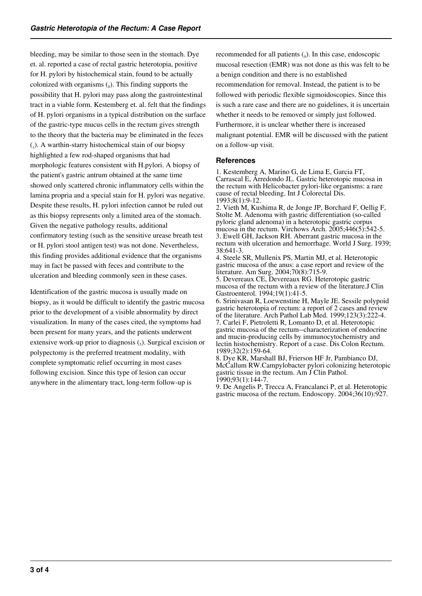bleeding, may be similar to those seen in the stomach. Dye et. al. reported a case of rectal gastric heterotopia, positive for H. pylori by histochemical stain, found to be actually colonized with organisms  $\left( \text{ }_{8}\right)$ . This finding supports the possibility that H. pylori may pass along the gastrointestinal tract in a viable form. Kestemberg et. al. felt that the findings of H. pylori organisms in a typical distribution on the surface of the gastric-type mucus cells in the rectum gives strength to the theory that the bacteria may be eliminated in the feces (1 ). A warthin-starry histochemical stain of our biopsy highlighted a few rod-shaped organisms that had morphologic features consistent with H.pylori. A biopsy of the patient's gastric antrum obtained at the same time showed only scattered chronic inflammatory cells within the lamina propria and a special stain for H. pylori was negative. Despite these results, H. pylori infection cannot be ruled out as this biopsy represents only a limited area of the stomach. Given the negative pathology results, additional confirmatory testing (such as the sensitive urease breath test or H. pylori stool antigen test) was not done. Nevertheless, this finding provides additional evidence that the organisms may in fact be passed with feces and contribute to the ulceration and bleeding commonly seen in these cases.

Identification of the gastric mucosa is usually made on biopsy, as it would be difficult to identify the gastric mucosa prior to the development of a visible abnormality by direct visualization. In many of the cases cited, the symptoms had been present for many years, and the patients underwent extensive work-up prior to diagnosis  $(_{5})$ . Surgical excision or polypectomy is the preferred treatment modality, with complete symptomatic relief occurring in most cases following excision. Since this type of lesion can occur anywhere in the alimentary tract, long-term follow-up is

recommended for all patients  $(_{9})$ . In this case, endoscopic mucosal resection (EMR) was not done as this was felt to be a benign condition and there is no established recommendation for removal. Instead, the patient is to be followed with periodic flexible sigmoidoscopies. Since this is such a rare case and there are no guidelines, it is uncertain whether it needs to be removed or simply just followed. Furthermore, it is unclear whether there is increased malignant potential. EMR will be discussed with the patient on a follow-up visit.

#### **References**

1. Kestemberg A, Marino G, de Lima E, Garcia FT, Carrascal E, Arredondo JL. Gastric heterotopic mucosa in the rectum with Helicobacter pylori-like organisms: a rare cause of rectal bleeding. Int J Colorectal Dis. 1993;8(1):9-12.

2. Vieth M, Kushima R, de Jonge JP, Borchard F, Oellig F, Stolte M. Adenoma with gastric differentiation (so-called pyloric gland adenoma) in a heterotopic gastric corpus mucosa in the rectum. Virchows Arch. 2005;446(5):542-5. 3. Ewell GH, Jackson RH. Aberrant gastric mucosa in the rectum with ulceration and hemorrhage. World J Surg. 1939; 38:641-3.

4. Steele SR, Mullenix PS, Martin MJ, et al. Heterotopic gastric mucosa of the anus: a case report and review of the literature. Am Surg. 2004;70(8):715-9.

5. Devereaux CE, Devereaux RG. Heterotopic gastric mucosa of the rectum with a review of the literature.J Clin Gastroenterol. 1994;19(1):41-5.

6. Srinivasan R, Loewenstine H, Mayle JE. Sessile polypoid gastric heterotopia of rectum: a report of 2 cases and review of the literature. Arch Pathol Lab Med. 1999;123(3):222-4. 7. Carlei F, Pietroletti R, Lomanto D, et al. Heterotopic gastric mucosa of the rectum--characterization of endocrine and mucin-producing cells by immunocytochemistry and lectin histochemistry. Report of a case. Dis Colon Rectum. 1989;32(2):159-64.

8. Dye KR, Marshall BJ, Frierson HF Jr, Pambianco DJ, McCallum RW.Campylobacter pylori colonizing heterotopic gastric tissue in the rectum. Am J Clin Pathol. 1990;93(1):144-7.

9. De Angelis P, Trecca A, Francalanci P, et al. Heterotopic gastric mucosa of the rectum. Endoscopy. 2004;36(10):927.